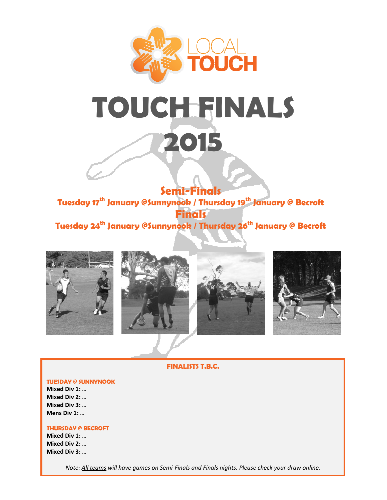



**Semi-Finals**  Tuesday 17<sup>th</sup> January @Sunnynook / Thursday 19<sup>th</sup> January @ Becroft **Finals**  Tuesday 24<sup>th</sup> January @Sunnynook / Thursday 26<sup>th</sup> January @ Becroft









**FINALISTS T.B.C.** 

#### **TUESDAY @ SUNNYNOOK**

**Mixed Div 1:** … **Mixed Div 2:** … **Mixed Div 3:** … **Mens Div 1:** …

#### **THURSDAY @ BECROFT**

**Mixed Div 1:** … **Mixed Div 2:** … **Mixed Div 3:** …

*Note: All teams will have games on Semi‐Finals and Finals nights. Please check your draw online.*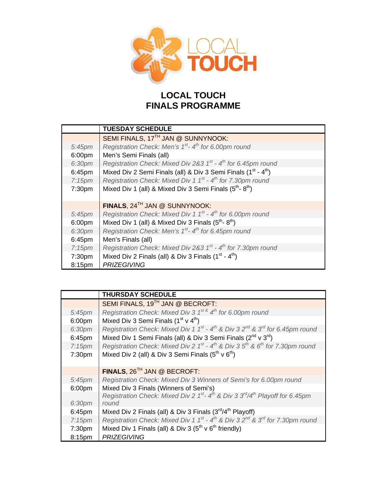

# **LOCAL TOUCH FINALS PROGRAMME**

|                    | <b>TUESDAY SCHEDULE</b>                                                                |
|--------------------|----------------------------------------------------------------------------------------|
|                    | SEMI FINALS, 17TH JAN @ SUNNYNOOK:                                                     |
| $5:45$ pm          | Registration Check: Men's $1^{st}$ - $4^{th}$ for 6.00pm round                         |
| 6:00 <sub>pm</sub> | Men's Semi Finals (all)                                                                |
| 6:30pm             | Registration Check: Mixed Div 2&3 $1^{st}$ - $4^{th}$ for 6.45pm round                 |
| 6:45pm             | Mixed Div 2 Semi Finals (all) & Div 3 Semi Finals (1 <sup>st</sup> - 4 <sup>th</sup> ) |
| 7:15 <sub>pm</sub> | Registration Check: Mixed Div 1 1 <sup>st</sup> - 4 <sup>th</sup> for 7.30pm round     |
| 7:30pm             | Mixed Div 1 (all) & Mixed Div 3 Semi Finals (5 <sup>th</sup> -8 <sup>th</sup> )        |
|                    |                                                                                        |
|                    | FINALS, 24 <sup>TH</sup> JAN @ SUNNYNOOK:                                              |
| $5:45$ pm          | Registration Check: Mixed Div 1 $1^{st}$ - $4^{th}$ for 6.00pm round                   |
| 6:00 <sub>pm</sub> | Mixed Div 1 (all) & Mixed Div 3 Finals $(5^{th} - 8^{th})$                             |
| 6:30pm             | Registration Check: Men's 1 <sup>st</sup> -4 <sup>th</sup> for 6.45pm round            |
| 6:45pm             | Men's Finals (all)                                                                     |
| $7:15 \text{pm}$   | Registration Check: Mixed Div 2&3 $1^{st}$ - $4^{th}$ for 7.30pm round                 |
| 7:30 <sub>pm</sub> | Mixed Div 2 Finals (all) & Div 3 Finals $(1st - 4th)$                                  |
| 8:15pm             | <b>PRIZEGIVING</b>                                                                     |

|                    | <b>THURSDAY SCHEDULE</b>                                                                                                  |
|--------------------|---------------------------------------------------------------------------------------------------------------------------|
|                    | SEMI FINALS, 19 <sup>TH</sup> JAN @ BECROFT:                                                                              |
| 5:45pm             | Registration Check: Mixed Div 3 1 <sup>st &amp;</sup> 4 <sup>th</sup> for 6.00pm round                                    |
| 6:00pm             | Mixed Div 3 Semi Finals $(1st v 4th)$                                                                                     |
| 6:30pm             | Registration Check: Mixed Div 1 $1^{st}$ - $4^{th}$ & Div 3 $2^{nd}$ & $3^{rd}$ for 6.45pm round                          |
| 6:45pm             | Mixed Div 1 Semi Finals (all) & Div 3 Semi Finals (2 <sup>nd</sup> v 3 <sup>rd</sup> )                                    |
| 7:15 <sub>pm</sub> | Registration Check: Mixed Div 2 $1^{st}$ - $4^{th}$ & Div 3 $5^{th}$ & 6 <sup>th</sup> for 7.30pm round                   |
| 7:30pm             | Mixed Div 2 (all) & Div 3 Semi Finals (5 <sup>th</sup> v 6 <sup>th</sup> )                                                |
|                    | FINALS, 26 <sup>TH</sup> JAN @ BECROFT:                                                                                   |
| 5:45pm             | Registration Check: Mixed Div 3 Winners of Semi's for 6.00pm round                                                        |
| 6:00 <sub>pm</sub> | Mixed Div 3 Finals (Winners of Semi's)                                                                                    |
|                    | Registration Check: Mixed Div 2 1 <sup>st</sup> -4 <sup>th</sup> & Div 3 $3^{\text{rd}}/4^{\text{th}}$ Playoff for 6.45pm |
| 6:30pm             | round                                                                                                                     |
| 6:45pm             | Mixed Div 2 Finals (all) & Div 3 Finals (3rd/4 <sup>th</sup> Playoff)                                                     |
| 7:15 <sub>pm</sub> | Registration Check: Mixed Div 1 $1^{st}$ - $4^{th}$ & Div 3 $2^{nd}$ & $3^{rd}$ for 7.30pm round                          |
| 7:30pm             | Mixed Div 1 Finals (all) & Div 3 ( $5th$ v $6th$ friendly)                                                                |
| 8:15pm             | <b>PRIZEGIVING</b>                                                                                                        |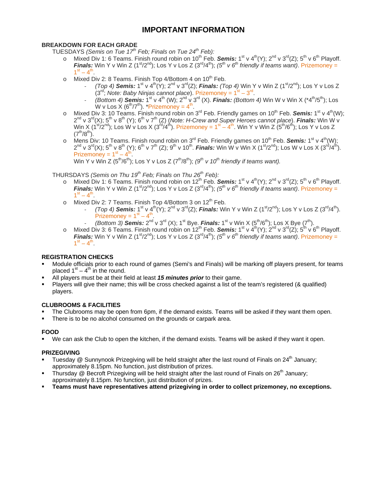## **IMPORTANT INFORMATION**

#### **BREAKDOWN FOR EACH GRADE**

TUESDAYS *(Semis on Tue 17th Feb; Finals on Tue 24th Feb):*

- o Mixed Div 1: 6 Teams. Finish round robin on 10<sup>th</sup> Feb. **Semis:** 1<sup>st</sup> v 4<sup>th</sup>(Y); 2<sup>nd</sup> v 3<sup>rd</sup>(Z); 5<sup>th</sup> v 6<sup>th</sup> Playoff. *Finals:* Win Y v Win Z (1<sup>st</sup>/2<sup>nd</sup>); Los Y v Los Z (3<sup>rd</sup>/4<sup>th</sup>); (5<sup>th</sup> v 6<sup>th</sup> friendly if teams want). Prizemoney =  $1^{\text{st}} - 4^{\text{th}}$
- o Mixed Div 2: 8 Teams. Finish Top 4/Bottom 4 on  $10^{th}$  Feb.
	- ‐ *(Top 4) Semis:* 1st v 4th(Y); 2nd v 3rd(Z); *Finals: (Top 4)* Win Y v Win Z (1st/2nd); Los Y v Los Z  $(3<sup>rd</sup>; Note: Baby Ninjas cannot place). Prizemoney =  $1<sup>st</sup> - 3<sup>rd</sup>$ .$
	- *(Bottom 4) Semis:*  $1^{st} \vee 4^{th}$  (W);  $2^{nd} \vee 3^{rd}$  (X). *Finals: (Bottom 4)* Win W v Win X (\*4<sup>th</sup>/5<sup>th</sup>); Los W v Los  $X(6^{th}/7^{th})$ . \*Prizemoney =  $4^{th}$ .
- o Mixed Div 3: 10 Teams. Finish round robin on 3<sup>rd</sup> Feb. Friendly games on 10<sup>th</sup> Feb. **Semis:** 1<sup>st</sup> v 4<sup>th</sup>(W); 2nd v 3rd(X); 5th v 8th (Y); 6th v 7th (Z) (*Note: H-Crew and Super Heroes cannot place*). *Finals:* Win W v Win X ( $1^{st}/2^{nd}$ ); Los W v Los X ( $3^{rd}/4^{th}$ ). Prizemoney =  $1^{st} - 4^{th}$ . Win Y v Win Z ( $5^{th}/6^{th}$ ); Los Y v Los Z  $(7^{th}/8^{th})$ .
- o Mens Div: 10 Teams. Finish round robin on 3<sup>rd</sup> Feb. Friendly games on 10<sup>th</sup> Feb. **Semis:** 1<sup>st</sup> v 4<sup>th</sup>(W);  $2^{nd}$  v  $3^{rd}(X)$ ;  $5^{th}$  v  $8^{th}$  (Y);  $6^{th}$  v  $7^{th}$  (Z);  $9^{th}$  v  $10^{th}$ . *Finals:* Win W v Win X ( $1^{st}/2^{nd}$ ); Los W v Los X ( $3^{rd}/4^{th}$ ). Prizemoney =  $1<sup>st</sup> - 4<sup>th</sup>$ .

Win Y v Win Z  $(5<sup>th</sup>/6<sup>th</sup>)$ ; Los Y v Los Z  $(7<sup>th</sup>/8<sup>th</sup>)$ ;  $(9<sup>th</sup>$  v 10<sup>th</sup> friendly if teams want).

#### THURSDAYS *(Semis on Thu 19th Feb; Finals on Thu 26th Feb):*

- o Mixed Div 1: 6 Teams. Finish round robin on 12<sup>th</sup> Feb. *Semis:* 1<sup>st</sup> v 4<sup>th</sup>(Y): 2<sup>nd</sup> v 3<sup>rd</sup>(Z): 5<sup>th</sup> v 6<sup>th</sup> Playoff. *Finals:* Win Y v Win Z (1<sup>st</sup>/2<sup>nd</sup>); Los Y v Los Z (3<sup>rd</sup>/4<sup>th</sup>); (5<sup>th</sup> v 6<sup>th</sup> friendly if teams want). Prizemoney =  $1^{\text{st}} - 4^{\text{th}}$
- o Mixed Div 2: 7 Teams. Finish Top 4/Bottom 3 on  $12<sup>th</sup>$  Feb.
	- *(Top 4)* **Semis:**  $1^{st} \vee 4^{th}(Y)$ ;  $2^{nd} \vee 3^{rd}(Z)$ ; *Finals:* Win Y v Win Z  $(1^{st}/2^{nd})$ ; Los Y v Los Z  $(3^{rd}/4^{th})$ . Prizemoney =  $1<sup>st</sup> - 4<sup>th</sup>$ .
	- *(Bottom 3) Semis:*  $2^{nd}$  v  $3^{rd}$  (X);  $1^{st}$  Bye. *Finals:*  $1^{st}$  v Win X  $(5^{th}/6^{th})$ ; Los X Bye  $(7^{th})$ .
- o Mixed Div 3: 6 Teams. Finish round robin on 12<sup>th</sup> Feb. **Semis:** 1<sup>st</sup> v 4<sup>th</sup>(Y); 2<sup>nd</sup> v 3<sup>rd</sup>(Z); 5<sup>th</sup> v 6<sup>th</sup> Playoff. *Finals:* Win Y v Win Z (1<sup>st</sup>/2<sup>nd</sup>); Los Y v Los Z (3<sup>rd</sup>/4<sup>th</sup>); (5<sup>th</sup> v 6<sup>th</sup> friendly if teams want). Prizemoney =  $1^{st} - 4^{th}$ .

#### **REGISTRATION CHECKS**

- Module officials prior to each round of games (Semi's and Finals) will be marking off players present, for teams placed  $1<sup>st</sup> - 4<sup>th</sup>$  in the round.
- All players must be at their field at least *15 minutes prior* to their game.
- Players will give their name; this will be cross checked against a list of the team's registered (& qualified) players.

#### **CLUBROOMS & FACILITIES**

- The Clubrooms may be open from 6pm, if the demand exists. Teams will be asked if they want them open.
- There is to be no alcohol consumed on the grounds or carpark area.

#### **FOOD**

We can ask the Club to open the kitchen, if the demand exists. Teams will be asked if they want it open.

#### **PRIZEGIVING**

- Tuesday  $@$  Sunnynook Prizegiving will be held straight after the last round of Finals on 24<sup>th</sup> January; approximately 8.15pm. No function, just distribution of prizes.
- Thursday  $@$  Becroft Prizegiving will be held straight after the last round of Finals on 26<sup>th</sup> January; approximately 8.15pm. No function, just distribution of prizes.
- **Teams must have representatives attend prizegiving in order to collect prizemoney, no exceptions.**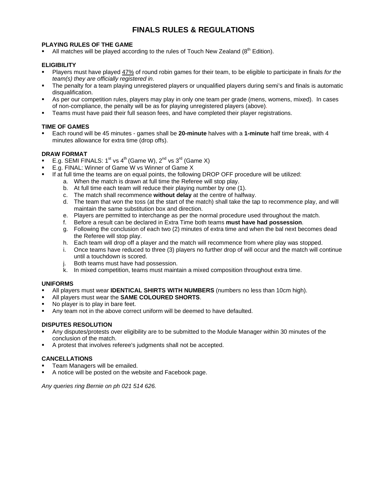## **FINALS RULES & REGULATIONS**

#### **PLAYING RULES OF THE GAME**

If All matches will be played according to the rules of Touch New Zealand ( $8^{th}$  Edition).

#### **ELIGIBILITY**

- Players must have played 47% of round robin games for their team, to be eligible to participate in finals *for the team(s) they are officially registered in*.
- The penalty for a team playing unregistered players or unqualified players during semi's and finals is automatic disqualification.
- As per our competition rules, players may play in only one team per grade (mens, womens, mixed). In cases of non-compliance, the penalty will be as for playing unregistered players (above).
- Teams must have paid their full season fees, and have completed their player registrations.

#### **TIME OF GAMES**

 Each round will be 45 minutes - games shall be **20-minute** halves with a **1-minute** half time break, with 4 minutes allowance for extra time (drop offs).

#### **DRAW FORMAT**

- E.g. SEMI FINALS:  $1^{st}$  vs  $4^{th}$  (Game W),  $2^{nd}$  vs  $3^{rd}$  (Game X)
- E.g. FINAL: Winner of Game W vs Winner of Game X
- If at full time the teams are on equal points, the following DROP OFF procedure will be utilized:
	- a. When the match is drawn at full time the Referee will stop play.
	- b. At full time each team will reduce their playing number by one (1).
	- c. The match shall recommence **without delay** at the centre of halfway.
	- d. The team that won the toss (at the start of the match) shall take the tap to recommence play, and will maintain the same substitution box and direction.
	- e. Players are permitted to interchange as per the normal procedure used throughout the match.
	- f. Before a result can be declared in Extra Time both teams **must have had possession**.
	- g. Following the conclusion of each two (2) minutes of extra time and when the bal next becomes dead the Referee will stop play.
	- h. Each team will drop off a player and the match will recommence from where play was stopped.
	- i. Once teams have reduced to three (3) players no further drop of will occur and the match will continue until a touchdown is scored.
	- j. Both teams must have had possession.
	- k. In mixed competition, teams must maintain a mixed composition throughout extra time.

#### **UNIFORMS**

- All players must wear **IDENTICAL SHIRTS WITH NUMBERS** (numbers no less than 10cm high).
- All players must wear the **SAME COLOURED SHORTS**.
- No player is to play in bare feet.
- Any team not in the above correct uniform will be deemed to have defaulted.

#### **DISPUTES RESOLUTION**

- Any disputes/protests over eligibility are to be submitted to the Module Manager within 30 minutes of the conclusion of the match.
- A protest that involves referee's judgments shall not be accepted.

#### **CANCELLATIONS**

- Team Managers will be emailed.
- A notice will be posted on the website and Facebook page.

*Any queries ring Bernie on ph 021 514 626.*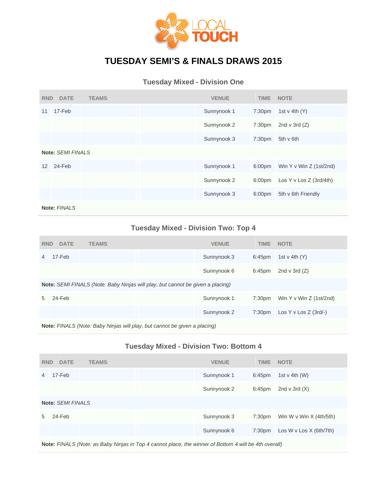

# **TUESDAY SEMI'S & FINALS DRAWS 2015**

## **Tuesday Mixed - Division One**

| <b>RND</b>      | <b>DATE</b>              | <b>TEAMS</b> |  | <b>VENUE</b> | <b>TIME</b>        | <b>NOTE</b>               |  |  |
|-----------------|--------------------------|--------------|--|--------------|--------------------|---------------------------|--|--|
| 11              | $17-Feb$                 |              |  | Sunnynook 1  | 7:30pm             | 1st v 4th $(Y)$           |  |  |
|                 |                          |              |  | Sunnynook 2  | 7:30 <sub>pm</sub> | 2nd v 3rd $(Z)$           |  |  |
|                 |                          |              |  | Sunnynook 3  | 7:30 <sub>pm</sub> | 5th v 6th                 |  |  |
|                 | <b>Note: SEMI FINALS</b> |              |  |              |                    |                           |  |  |
| 12 <sup>2</sup> | 24-Feb                   |              |  | Sunnynook 1  | 6:00pm             | Win Y v Win Z (1st/2nd)   |  |  |
|                 |                          |              |  | Sunnynook 2  | 6:00pm             | Los Y v Los Z $(3rd/4th)$ |  |  |
|                 |                          |              |  | Sunnynook 3  | 6:00pm             | 5th v 6th Friendly        |  |  |
|                 | Note: FINALS             |              |  |              |                    |                           |  |  |

## **Tuesday Mixed - Division Two: Top 4**

| <b>RND</b> | <b>DATE</b>                                                                           | <b>TEAMS</b> |                                                                           | <b>VENUE</b> | <b>TIME</b> | <b>NOTE</b>             |  |  |
|------------|---------------------------------------------------------------------------------------|--------------|---------------------------------------------------------------------------|--------------|-------------|-------------------------|--|--|
| 4          | 17-Feb                                                                                |              |                                                                           | Sunnynook 3  | 6:45pm      | 1st v 4th $(Y)$         |  |  |
|            |                                                                                       |              |                                                                           | Sunnynook 6  | 6:45pm      | 2nd v 3rd $(Z)$         |  |  |
|            | <b>Note:</b> SEMI FINALS (Note: Baby Ninjas will play, but cannot be given a placing) |              |                                                                           |              |             |                         |  |  |
| 5          | 24-Feb                                                                                |              |                                                                           | Sunnynook 1  | 7:30pm      | Win Y v Win Z (1st/2nd) |  |  |
|            |                                                                                       |              |                                                                           | Sunnynook 2  | 7:30pm      | Los Y v Los Z $(3rd/-)$ |  |  |
|            |                                                                                       |              | Note: EINALS (Note: Baby Ninias will play, but cannot be given a placing) |              |             |                         |  |  |

**Note:** *FINALS (Note: Baby Ninjas will play, but cannot be given a placing)*

### **Tuesday Mixed - Division Two: Bottom 4**

| <b>RND</b> | <b>DATE</b>              | <b>TEAMS</b> |  | <b>VENUE</b> | <b>TIME</b>        | <b>NOTE</b>               |  |  |
|------------|--------------------------|--------------|--|--------------|--------------------|---------------------------|--|--|
| 4          | 17-Feb                   |              |  | Sunnynook 1  | 6:45pm             | 1st v 4th $(W)$           |  |  |
|            |                          |              |  | Sunnynook 2  | 6:45pm             | 2nd v 3rd $(X)$           |  |  |
|            | <b>Note: SEMI FINALS</b> |              |  |              |                    |                           |  |  |
| 5          | 24-Feb                   |              |  | Sunnynook 3  | 7:30 <sub>pm</sub> | Win W v Win $X$ (4th/5th) |  |  |
|            |                          |              |  | Sunnynook 6  | 7:30 <sub>pm</sub> | Los W v Los X (6th/7th)   |  |  |
|            |                          |              |  |              |                    |                           |  |  |

**Note:** *FINALS (Note: as Baby Ninjas in Top 4 cannot place, the winner of Bottom 4 will be 4th overall)*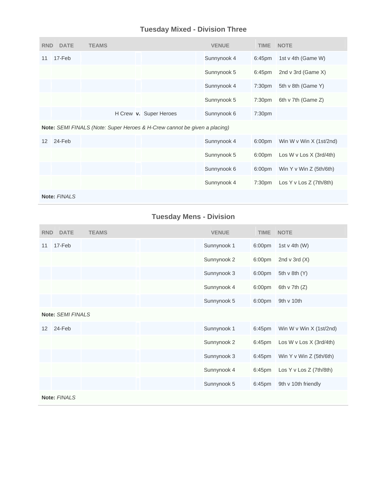## **Tuesday Mixed - Division Three**

| <b>RND</b> | <b>DATE</b>  | <b>TEAMS</b> |                                                                           | <b>VENUE</b> | <b>TIME</b>        | <b>NOTE</b>                    |
|------------|--------------|--------------|---------------------------------------------------------------------------|--------------|--------------------|--------------------------------|
| 11         | 17-Feb       |              |                                                                           | Sunnynook 4  | 6:45pm             | 1st v 4th (Game W)             |
|            |              |              |                                                                           | Sunnynook 5  | 6:45pm             | 2nd $v$ 3rd (Game $X$ )        |
|            |              |              |                                                                           | Sunnynook 4  | 7:30pm             | 5th v 8th (Game Y)             |
|            |              |              |                                                                           | Sunnynook 5  | 7:30 <sub>pm</sub> | 6th v 7th (Game Z)             |
|            |              |              | H Crew v. Super Heroes                                                    | Sunnynook 6  | 7:30 <sub>pm</sub> |                                |
|            |              |              | Note: SEMI FINALS (Note: Super Heroes & H-Crew cannot be given a placing) |              |                    |                                |
| 12         | 24-Feb       |              |                                                                           | Sunnynook 4  | 6:00 <sub>pm</sub> | Win W v Win $X$ (1st/2nd)      |
|            |              |              |                                                                           | Sunnynook 5  | 6:00 <sub>pm</sub> | Los W v Los $X$ (3rd/4th)      |
|            |              |              |                                                                           | Sunnynook 6  | 6:00pm             | Win $Y \vee$ Win $Z$ (5th/6th) |
|            |              |              |                                                                           | Sunnynook 4  | 7:30 <sub>pm</sub> | Los Y v Los Z $(7th/8th)$      |
|            | Note: FINALS |              |                                                                           |              |                    |                                |

## **Tuesday Mens - Division**

| <b>RND</b>        | <b>DATE</b>              | <b>TEAMS</b> | <b>VENUE</b> | <b>TIME</b>        | <b>NOTE</b>             |
|-------------------|--------------------------|--------------|--------------|--------------------|-------------------------|
| 11                | 17-Feb                   |              | Sunnynook 1  | 6:00pm             | 1st $v$ 4th (W)         |
|                   |                          |              | Sunnynook 2  | 6:00pm             | 2nd $v$ 3rd $(X)$       |
|                   |                          |              | Sunnynook 3  | 6:00pm             | 5th $v$ 8th $(Y)$       |
|                   |                          |              | Sunnynook 4  | 6:00pm             | 6th $v$ 7th $(Z)$       |
|                   |                          |              | Sunnynook 5  | 6:00 <sub>pm</sub> | 9th v 10th              |
|                   | <b>Note: SEMI FINALS</b> |              |              |                    |                         |
| $12 \overline{ }$ | 24-Feb                   |              | Sunnynook 1  | 6:45pm             | Win W v Win X (1st/2nd) |
|                   |                          |              | Sunnynook 2  | 6:45pm             | Los W v Los X (3rd/4th) |
|                   |                          |              | Sunnynook 3  | 6:45pm             | Win Y v Win Z (5th/6th) |
|                   |                          |              | Sunnynook 4  | 6:45pm             | Los Y v Los Z (7th/8th) |
|                   |                          |              | Sunnynook 5  | 6:45 <sub>pm</sub> | 9th v 10th friendly     |
|                   | Note: FINALS             |              |              |                    |                         |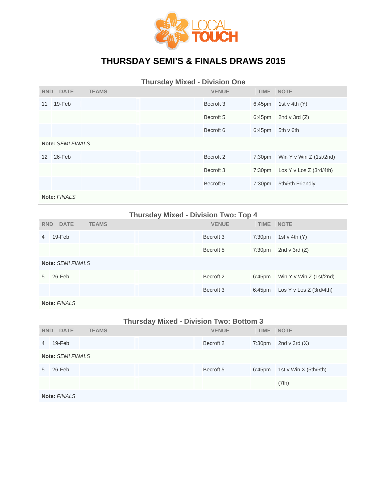

# **THURSDAY SEMI'S & FINALS DRAWS 2015**

**Thursday Mixed - Division One RND DATE TEAMS VENUE TIME NOTE**  11 19-Feb Becroft 3 6:45pm 1st v 4th (Y) Becroft 5 6:45pm 2nd v 3rd (Z) Becroft 6 6:45pm 5th v 6th **Note:** *SEMI FINALS* 12 26-Feb Becroft 2 7:30pm Win Y v Win Z (1st/2nd) Becroft 3 7:30pm Los Y v Los Z (3rd/4th) Becroft 5 7:30pm 5th/6th Friendly

**Note:** *FINALS*

### **Thursday Mixed - Division Two: Top 4**

| <b>RND</b>     | <b>DATE</b>              | <b>TEAMS</b> |  | <b>VENUE</b>         | <b>TIME</b> | <b>NOTE</b>               |  |  |
|----------------|--------------------------|--------------|--|----------------------|-------------|---------------------------|--|--|
| $\overline{4}$ | $19$ -Feb                |              |  | Becroft 3            | 7:30pm      | 1st v 4th $(Y)$           |  |  |
|                |                          |              |  | Becroft <sub>5</sub> | 7:30pm      | 2nd $v$ 3rd $(Z)$         |  |  |
|                | <b>Note: SEMI FINALS</b> |              |  |                      |             |                           |  |  |
| 5              | $26$ -Feb                |              |  | Becroft 2            | 6:45pm      | Win Y v Win Z $(1st/2nd)$ |  |  |
|                |                          |              |  | Becroft <sub>3</sub> | 6:45pm      | Los Y v Los Z $(3rd/4th)$ |  |  |
|                | Note: FINALS             |              |  |                      |             |                           |  |  |

|            | <b>Thursday Mixed - Division Two: Bottom 3</b> |              |  |                      |             |                       |  |  |
|------------|------------------------------------------------|--------------|--|----------------------|-------------|-----------------------|--|--|
| <b>RND</b> | <b>DATE</b>                                    | <b>TEAMS</b> |  | <b>VENUE</b>         | <b>TIME</b> | <b>NOTE</b>           |  |  |
| 4          | 19-Feb                                         |              |  | Becroft 2            | 7:30pm      | 2nd v 3rd $(X)$       |  |  |
|            | <b>Note: SEMI FINALS</b>                       |              |  |                      |             |                       |  |  |
| 5          | 26-Feb                                         |              |  | Becroft <sub>5</sub> | 6:45pm      | 1st v Win X (5th/6th) |  |  |
|            |                                                |              |  |                      |             | (7th)                 |  |  |
|            | Note: FINALS                                   |              |  |                      |             |                       |  |  |